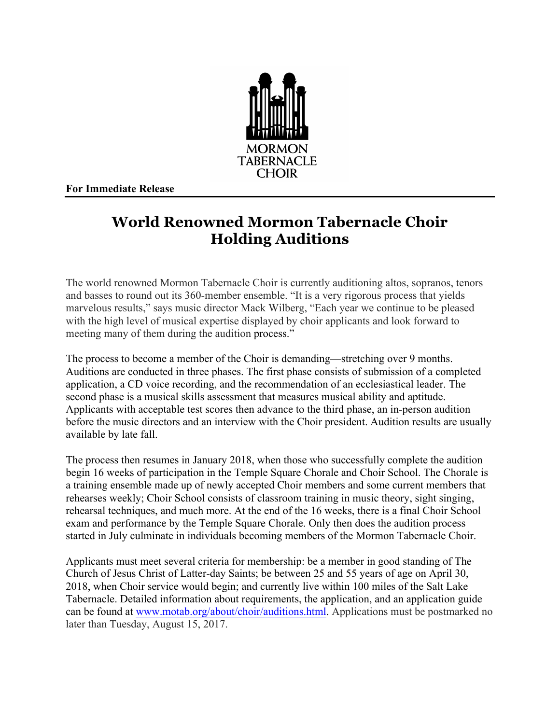

**For Immediate Release**

## **World Renowned Mormon Tabernacle Choir Holding Auditions**

The world renowned Mormon Tabernacle Choir is currently auditioning altos, sopranos, tenors and basses to round out its 360-member ensemble. "It is a very rigorous process that yields marvelous results," says music director Mack Wilberg, "Each year we continue to be pleased with the high level of musical expertise displayed by choir applicants and look forward to meeting many of them during the audition process."

The process to become a member of the Choir is demanding—stretching over 9 months. Auditions are conducted in three phases. The first phase consists of submission of a completed application, a CD voice recording, and the recommendation of an ecclesiastical leader. The second phase is a musical skills assessment that measures musical ability and aptitude. Applicants with acceptable test scores then advance to the third phase, an in-person audition before the music directors and an interview with the Choir president. Audition results are usually available by late fall.

The process then resumes in January 2018, when those who successfully complete the audition begin 16 weeks of participation in the Temple Square Chorale and Choir School. The Chorale is a training ensemble made up of newly accepted Choir members and some current members that rehearses weekly; Choir School consists of classroom training in music theory, sight singing, rehearsal techniques, and much more. At the end of the 16 weeks, there is a final Choir School exam and performance by the Temple Square Chorale. Only then does the audition process started in July culminate in individuals becoming members of the Mormon Tabernacle Choir.

Applicants must meet several criteria for membership: be a member in good standing of The Church of Jesus Christ of Latter-day Saints; be between 25 and 55 years of age on April 30, 2018, when Choir service would begin; and currently live within 100 miles of the Salt Lake Tabernacle. Detailed information about requirements, the application, and an application guide can be found at www.motab.org/about/choir/auditions.html. Applications must be postmarked no later than Tuesday, August 15, 2017.